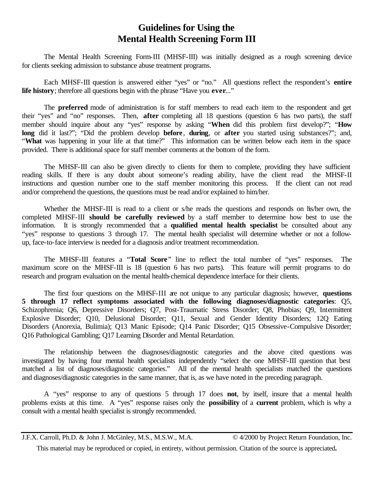## **Guidelines for Using the Mental Health Screening Form III**

The Mental Health Screening Form-III (MHSF-III) was initially designed as a rough screening device for clients seeking admission to substance abuse treatment programs.

Each MHSF-III question is answered either "yes" or "no." All questions reflect the respondent's **entire life history**; therefore all questions begin with the phrase "Have you **ever**..."

The **preferred** mode of administration is for staff members to read each item to the respondent and get their "yes" and "no" responses. Then, **after** completing all 18 questions (question 6 has two parts), the staff member should inquire about any "yes" response by asking "**When** did this problem first develop?"; "**How long** did it last?"; "Did the problem develop **before**, **during**, or **after** you started using substances?"; and, "**What** was happening in your life at that time?" This information can be written below each item in the space provided. There is additional space for staff member comments at the bottom of the form.

The MHSF-III can also be given directly to clients for them to complete, providing they have sufficient reading skills. If there is any doubt about someone's reading ability, have the client read the MHSF-II instructions and question number one to the staff member monitoring this process. If the client can not read and/or comprehend the questions, the questions must be read and/or explained to him/her.

Whether the MHSF-III is read to a client or s/he reads the questions and responds on his/her own, the completed MHSF-III **should be carefully reviewed** by a staff member to determine how best to use the information. It is strongly recommended that a **qualified mental health specialist** be consulted about any "yes" response to questions 3 through 17. The mental health specialist will determine whether or not a followup, face-to-face interview is needed for a diagnosis and/or treatment recommendation.

The MHSF-III features a "**Total Score**" line to reflect the total number of "yes" responses. The maximum score on the MHSF-III is 18 (question 6 has two parts). This feature will permit programs to do research and program evaluation on the mental health-chemical dependence interface for their clients.

The first four questions on the MHSF-III are not unique to any particular diagnosis; however, **questions 5 through 17 reflect symptoms associated with the following diagnoses/diagnostic categories**: Q5, Schizophrenia; Q6, Depressive Disorders; Q7, Post-Traumatic Stress Disorder; Q8, Phobias; Q9, Intermittent Explosive Disorder; Q10, Delusional Disorder; Q11, Sexual and Gender Identity Disorders; 12Q Eating Disorders (Anorexia, Bulimia); Q13 Manic Episode; Q14 Panic Disorder; Q15 Obsessive-Compulsive Disorder; Q16 Pathological Gambling; Q17 Learning Disorder and Mental Retardation.

The relationship between the diagnoses/diagnostic categories and the above cited questions was investigated by having four mental health specialists independently "select the one MHSF-III question that best matched a list of diagnoses/diagnostic categories." All of the mental health specialists matched the questions and diagnoses/diagnostic categories in the same manner, that is, as we have noted in the preceding paragraph.

A "yes" response to any of questions 5 through 17 does **not**, by itself, insure that a mental health problems exists at this time. A "yes" response raises only the **possibility** of a **current** problem, which is why a consult with a mental health specialist is strongly recommended.

J.F.X. Carroll, Ph.D. & John J. McGinley, M.S., M.S.W., M.A. © 4/2000 by Project Return Foundation, Inc.

This material may be reproduced or copied, in entirety, without permission. Citation of the source is appreciated.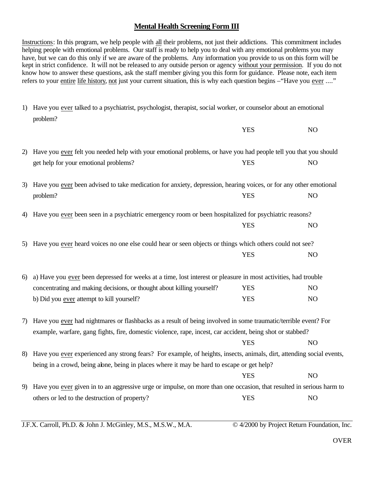## **Mental Health Screening Form III**

Instructions: In this program, we help people with all their problems, not just their addictions. This commitment includes helping people with emotional problems. Our staff is ready to help you to deal with any emotional problems you may have, but we can do this only if we are aware of the problems. Any information you provide to us on this form will be kept in strict confidence. It will not be released to any outside person or agency without your permission. If you do not know how to answer these questions, ask the staff member giving you this form for guidance. Please note, each item refers to your entire life history, not just your current situation, this is why each question begins –"Have you ever ...."

|    | 1) Have you ever talked to a psychiatrist, psychologist, therapist, social worker, or counselor about an emotional<br>problem?                                                                                               |            |                |  |
|----|------------------------------------------------------------------------------------------------------------------------------------------------------------------------------------------------------------------------------|------------|----------------|--|
|    |                                                                                                                                                                                                                              | <b>YES</b> | NO             |  |
| 2) | Have you ever felt you needed help with your emotional problems, or have you had people tell you that you should                                                                                                             |            |                |  |
|    | get help for your emotional problems?                                                                                                                                                                                        | <b>YES</b> | N <sub>O</sub> |  |
| 3) | Have you ever been advised to take medication for anxiety, depression, hearing voices, or for any other emotional                                                                                                            |            |                |  |
|    | problem?                                                                                                                                                                                                                     | <b>YES</b> | NO             |  |
| 4) | Have you ever been seen in a psychiatric emergency room or been hospitalized for psychiatric reasons?                                                                                                                        |            |                |  |
|    |                                                                                                                                                                                                                              | <b>YES</b> | NO             |  |
| 5) | Have you ever heard voices no one else could hear or seen objects or things which others could not see?                                                                                                                      |            |                |  |
|    |                                                                                                                                                                                                                              | <b>YES</b> | NO             |  |
| 6) | a) Have you ever been depressed for weeks at a time, lost interest or pleasure in most activities, had trouble                                                                                                               |            |                |  |
|    | concentrating and making decisions, or thought about killing yourself?                                                                                                                                                       | <b>YES</b> | N <sub>O</sub> |  |
|    | b) Did you ever attempt to kill yourself?                                                                                                                                                                                    | <b>YES</b> | NO             |  |
| 7) | Have you ever had nightmares or flashbacks as a result of being involved in some traumatic/terrible event? For<br>example, warfare, gang fights, fire, domestic violence, rape, incest, car accident, being shot or stabbed? |            |                |  |
|    |                                                                                                                                                                                                                              | <b>YES</b> | NO             |  |
| 8) | Have you ever experienced any strong fears? For example, of heights, insects, animals, dirt, attending social events,                                                                                                        |            |                |  |
|    | being in a crowd, being abne, being in places where it may be hard to escape or get help?                                                                                                                                    |            |                |  |
|    |                                                                                                                                                                                                                              | <b>YES</b> | NO             |  |
| 9  | Have you ever given in to an aggressive urge or impulse, on more than one occasion, that resulted in serious harm to                                                                                                         |            |                |  |
|    | others or led to the destruction of property?                                                                                                                                                                                | <b>YES</b> | N <sub>O</sub> |  |

J.F.X. Carroll, Ph.D. & John J. McGinley, M.S., M.S.W., M.A. © 4/2000 by Project Return Foundation, Inc.